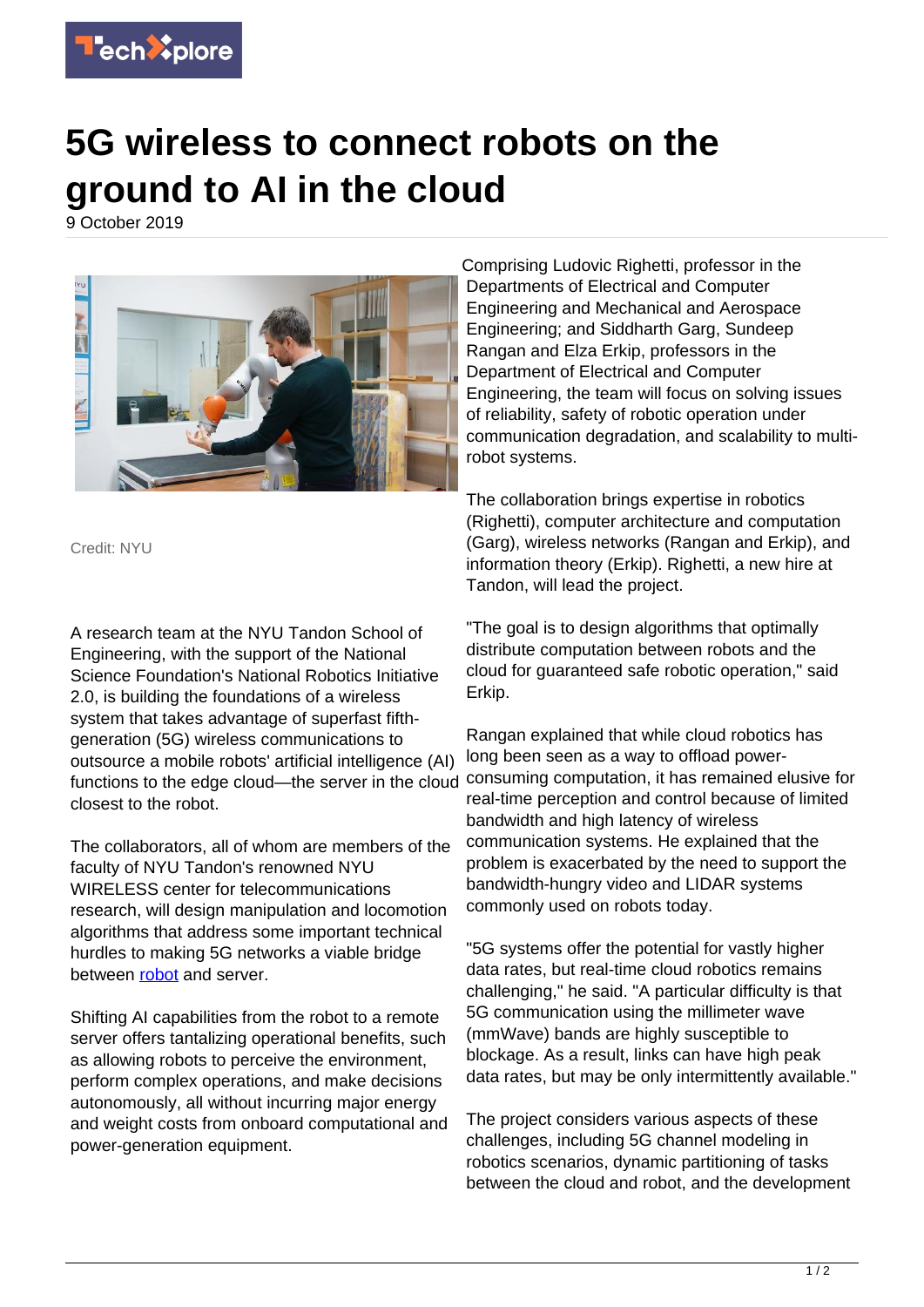

## **5G wireless to connect robots on the ground to AI in the cloud**

9 October 2019



Credit: NYU

A research team at the NYU Tandon School of Engineering, with the support of the National Science Foundation's National Robotics Initiative 2.0, is building the foundations of a wireless system that takes advantage of superfast fifthgeneration (5G) wireless communications to outsource a mobile robots' artificial intelligence (AI) functions to the edge cloud—the server in the cloud closest to the robot.

The collaborators, all of whom are members of the faculty of NYU Tandon's renowned NYU WIRELESS center for telecommunications research, will design manipulation and locomotion algorithms that address some important technical hurdles to making 5G networks a viable bridge between [robot](https://techxplore.com/tags/robot/) and server.

Shifting AI capabilities from the robot to a remote server offers tantalizing operational benefits, such as allowing robots to perceive the environment, perform complex operations, and make decisions autonomously, all without incurring major energy and weight costs from onboard computational and power-generation equipment.

Comprising Ludovic Righetti, professor in the Departments of Electrical and Computer Engineering and Mechanical and Aerospace Engineering; and Siddharth Garg, Sundeep Rangan and Elza Erkip, professors in the Department of Electrical and Computer Engineering, the team will focus on solving issues of reliability, safety of robotic operation under communication degradation, and scalability to multirobot systems.

The collaboration brings expertise in robotics (Righetti), computer architecture and computation (Garg), wireless networks (Rangan and Erkip), and information theory (Erkip). Righetti, a new hire at Tandon, will lead the project.

"The goal is to design algorithms that optimally distribute computation between robots and the cloud for guaranteed safe robotic operation," said Erkip.

Rangan explained that while cloud robotics has long been seen as a way to offload powerconsuming computation, it has remained elusive for real-time perception and control because of limited bandwidth and high latency of wireless communication systems. He explained that the problem is exacerbated by the need to support the bandwidth-hungry video and LIDAR systems commonly used on robots today.

"5G systems offer the potential for vastly higher data rates, but real-time cloud robotics remains challenging," he said. "A particular difficulty is that 5G communication using the millimeter wave (mmWave) bands are highly susceptible to blockage. As a result, links can have high peak data rates, but may be only intermittently available."

The project considers various aspects of these challenges, including 5G channel modeling in robotics scenarios, dynamic partitioning of tasks between the cloud and robot, and the development